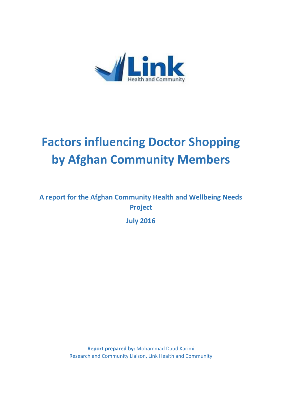

# **Factors influencing Doctor Shopping by Afghan Community Members**

# **A report for the Afghan Community Health and Wellbeing Needs Project**

**July 2016**

**Report prepared by:** Mohammad Daud Karimi Research and Community Liaison, Link Health and Community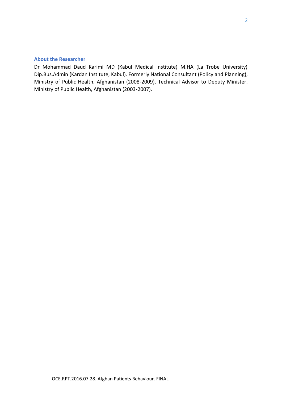# **About the Researcher**

Dr Mohammad Daud Karimi MD (Kabul Medical Institute) M.HA (La Trobe University) Dip.Bus.Admin (Kardan Institute, Kabul). Formerly National Consultant (Policy and Planning), Ministry of Public Health, Afghanistan (2008-2009), Technical Advisor to Deputy Minister, Ministry of Public Health, Afghanistan (2003-2007).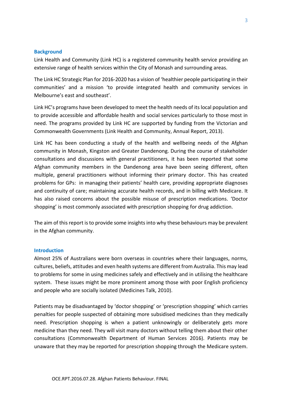#### **Background**

Link Health and Community (Link HC) is a registered community health service providing an extensive range of health services within the City of Monash and surrounding areas.

The Link HC Strategic Plan for 2016-2020 has a vision of 'healthier people participating in their communities' and a mission 'to provide integrated health and community services in Melbourne's east and southeast'.

Link HC's programs have been developed to meet the health needs of its local population and to provide accessible and affordable health and social services particularly to those most in need. The programs provided by Link HC are supported by funding from the Victorian and Commonwealth Governments (Link Health and Community, Annual Report, 2013).

Link HC has been conducting a study of the health and wellbeing needs of the Afghan community in Monash, Kingston and Greater Dandenong. During the course of stakeholder consultations and discussions with general practitioners, it has been reported that some Afghan community members in the Dandenong area have been seeing different, often multiple, general practitioners without informing their primary doctor. This has created problems for GPs: in managing their patients' health care, providing appropriate diagnoses and continuity of care; maintaining accurate health records, and in billing with Medicare. It has also raised concerns about the possible misuse of prescription medications. 'Doctor shopping' is most commonly associated with prescription shopping for drug addiction.

The aim of this report is to provide some insights into why these behaviours may be prevalent in the Afghan community.

#### **Introduction**

Almost 25% of Australians were born overseas in countries where their languages, norms, cultures, beliefs, attitudes and even health systems are different from Australia. This may lead to problems for some in using medicines safely and effectively and in utilising the healthcare system. These issues might be more prominent among those with poor English proficiency and people who are socially isolated (Medicines Talk, 2010).

Patients may be disadvantaged by 'doctor shopping' or 'prescription shopping' which carries penalties for people suspected of obtaining more subsidised medicines than they medically need. Prescription shopping is when a patient unknowingly or deliberately gets more medicine than they need. They will visit many doctors without telling them about their other consultations (Commonwealth Department of Human Services 2016). Patients may be unaware that they may be reported for prescription shopping through the Medicare system.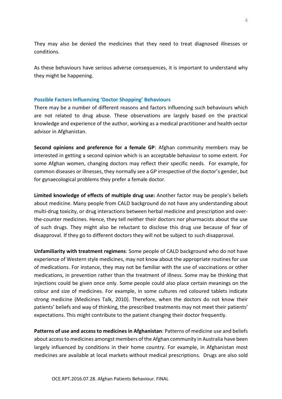They may also be denied the medicines that they need to treat diagnosed illnesses or conditions.

As these behaviours have serious adverse consequences, it is important to understand why they might be happening.

#### **Possible Factors Influencing 'Doctor Shopping' Behaviours**

There may be a number of different reasons and factors influencing such behaviours which are not related to drug abuse. These observations are largely based on the practical knowledge and experience of the author, working as a medical practitioner and health sector advisor in Afghanistan.

**Second opinions and preference for a female GP**: Afghan community members may be interested in getting a second opinion which is an acceptable behaviour to some extent. For some Afghan women, changing doctors may reflect their specific needs. For example, for common diseases or illnesses, they normally see a GP irrespective of the doctor's gender, but for gynaecological problems they prefer a female doctor.

**Limited knowledge of effects of multiple drug use:** Another factor may be people's beliefs about medicine. Many people from CALD background do not have any understanding about multi-drug toxicity, or drug interactions between herbal medicine and prescription and over the-counter medicines. Hence, they tell neither their doctors nor pharmacists about the use of such drugs. They might also be reluctant to disclose this drug use because of fear of disapproval. If they go to different doctors they will not be subject to such disapproval.

**Unfamiliarity with treatment regimens**: Some people of CALD background who do not have experience of Western style medicines, may not know about the appropriate routines for use of medications. For instance, they may not be familiar with the use of vaccinations or other medications, in prevention rather than the treatment of illness. Some may be thinking that injections could be given once only. Some people could also place certain meanings on the colour and size of medicines. For example, in some cultures red coloured tablets indicate strong medicine (Medicines Talk, 2010). Therefore, when the doctors do not know their patients' beliefs and way of thinking, the prescribed treatments may not meet their patients' expectations. This might contribute to the patient changing their doctor frequently.

**Patterns of use and access to medicines in Afghanistan**: Patterns of medicine use and beliefs about access to medicines amongst members of the Afghan community in Australia have been largely influenced by conditions in their home country. For example, in Afghanistan most medicines are available at local markets without medical prescriptions. Drugs are also sold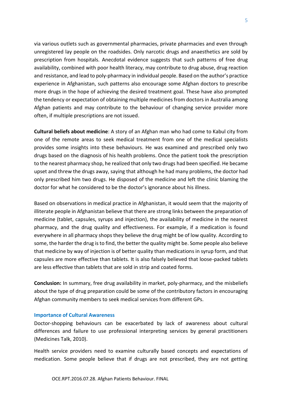via various outlets such as governmental pharmacies, private pharmacies and even through unregistered lay people on the roadsides. Only narcotic drugs and anaesthetics are sold by prescription from hospitals. Anecdotal evidence suggests that such patterns of free drug availability, combined with poor health literacy, may contribute to drug abuse, drug reaction and resistance, and lead to poly-pharmacy in individual people. Based on the author's practice experience in Afghanistan, such patterns also encourage some Afghan doctors to prescribe more drugs in the hope of achieving the desired treatment goal. These have also prompted the tendency or expectation of obtaining multiple medicines from doctors in Australia among Afghan patients and may contribute to the behaviour of changing service provider more often, if multiple prescriptions are not issued.

**Cultural beliefs about medicine**: A story of an Afghan man who had come to Kabul city from one of the remote areas to seek medical treatment from one of the medical specialists provides some insights into these behaviours. He was examined and prescribed only two drugs based on the diagnosis of his health problems. Once the patient took the prescription to the nearest pharmacy shop, he realized that only two drugs had been specified. He became upset and threw the drugs away, saying that although he had many problems, the doctor had only prescribed him two drugs. He disposed of the medicine and left the clinic blaming the doctor for what he considered to be the doctor's ignorance about his illness.

Based on observations in medical practice in Afghanistan, it would seem that the majority of illiterate people in Afghanistan believe that there are strong links between the preparation of medicine (tablet, capsules, syrups and injection), the availability of medicine in the nearest pharmacy, and the drug quality and effectiveness. For example, if a medication is found everywhere in all pharmacy shops they believe the drug might be of low quality. According to some, the harder the drug is to find, the better the quality might be. Some people also believe that medicine by way of injection is of better quality than medications in syrup form, and that capsules are more effective than tablets. It is also falsely believed that loose-packed tablets are less effective than tablets that are sold in strip and coated forms.

**Conclusion:** In summary, free drug availability in market, poly-pharmacy, and the misbeliefs about the type of drug preparation could be some of the contributory factors in encouraging Afghan community members to seek medical services from different GPs.

### **Importance of Cultural Awareness**

Doctor-shopping behaviours can be exacerbated by lack of awareness about cultural differences and failure to use professional interpreting services by general practitioners (Medicines Talk, 2010).

Health service providers need to examine culturally based concepts and expectations of medication. Some people believe that if drugs are not prescribed, they are not getting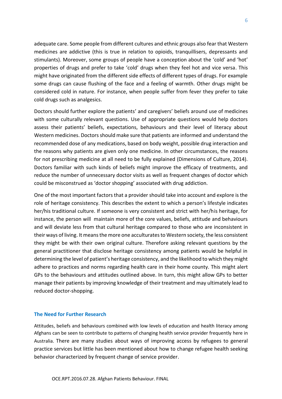adequate care. Some people from different cultures and ethnic groups also fear that Western medicines are addictive (this is true in relation to opioids, tranquillisers, depressants and stimulants). Moreover, some groups of people have a conception about the 'cold' and 'hot' properties of drugs and prefer to take 'cold' drugs when they feel hot and vice versa. This might have originated from the different side effects of different types of drugs. For example some drugs can cause flushing of the face and a feeling of warmth. Other drugs might be considered cold in nature. For instance, when people suffer from fever they prefer to take cold drugs such as analgesics.

Doctors should further explore the patients' and caregivers' beliefs around use of medicines with some culturally relevant questions. Use of appropriate questions would help doctors assess their patients' beliefs, expectations, behaviours and their level of literacy about Western medicines. Doctors should make sure that patients are informed and understand the recommended dose of any medications, based on body weight, possible drug interaction and the reasons why patients are given only one medicine. In other circumstances, the reasons for not prescribing medicine at all need to be fully explained (Dimensions of Culture, 2014). Doctors familiar with such kinds of beliefs might improve the efficacy of treatments, and reduce the number of unnecessary doctor visits as well as frequent changes of doctor which could be misconstrued as 'doctor shopping' associated with drug addiction.

One of the most important factors that a provider should take into account and explore is the role of heritage consistency. This describes the extent to which a person's lifestyle indicates her/his traditional culture. If someone is very consistent and strict with her/his heritage, for instance, the person will maintain more of the core values, beliefs, attitude and behaviours and will deviate less from that cultural heritage compared to those who are inconsistent in their ways of living. It means the more one acculturatesto Western society, the less consistent they might be with their own original culture. Therefore asking relevant questions by the general practitioner that disclose heritage consistency among patients would be helpful in determining the level of patient's heritage consistency, and the likelihood to which they might adhere to practices and norms regarding health care in their home county. This might alert GPs to the behaviours and attitudes outlined above. In turn, this might allow GPs to better manage their patients by improving knowledge of their treatment and may ultimately lead to reduced doctor-shopping.

#### **The Need for Further Research**

Attitudes, beliefs and behaviours combined with low levels of education and health literacy among Afghans can be seen to contribute to patterns of changing health service provider frequently here in Australia. There are many studies about ways of improving access by refugees to general practice services but little has been mentioned about how to change refugee health seeking behavior characterized by frequent change of service provider.